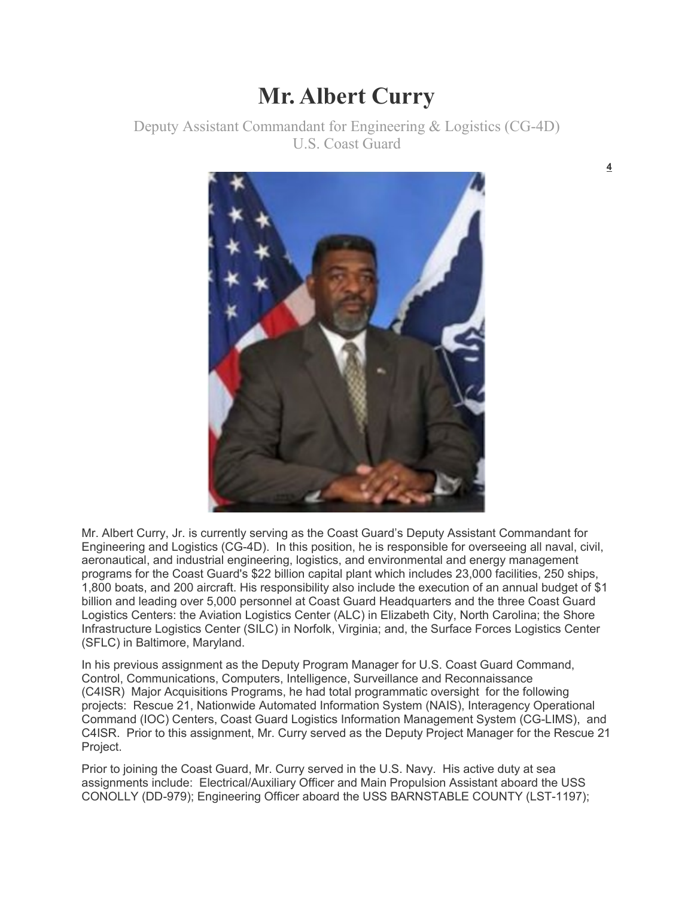## **Mr. Albert Curry**

Deputy Assistant Commandant for Engineering & Logistics (CG-4D) U.S. Coast Guard



Mr. Albert Curry, Jr. is currently serving as the Coast Guard's Deputy Assistant Commandant for Engineering and Logistics (CG-4D). In this position, he is responsible for overseeing all naval, civil, aeronautical, and industrial engineering, logistics, and environmental and energy management programs for the Coast Guard's \$22 billion capital plant which includes 23,000 facilities, 250 ships, 1,800 boats, and 200 aircraft. His responsibility also include the execution of an annual budget of \$1 billion and leading over 5,000 personnel at Coast Guard Headquarters and the three Coast Guard Logistics Centers: the Aviation Logistics Center (ALC) in Elizabeth City, North Carolina; the Shore Infrastructure Logistics Center (SILC) in Norfolk, Virginia; and, the Surface Forces Logistics Center (SFLC) in Baltimore, Maryland.

In his previous assignment as the Deputy Program Manager for U.S. Coast Guard Command, Control, Communications, Computers, Intelligence, Surveillance and Reconnaissance (C4ISR) Major Acquisitions Programs, he had total programmatic oversight for the following projects: Rescue 21, Nationwide Automated Information System (NAIS), Interagency Operational Command (IOC) Centers, Coast Guard Logistics Information Management System (CG-LIMS), and C4ISR. Prior to this assignment, Mr. Curry served as the Deputy Project Manager for the Rescue 21 Project.

Prior to joining the Coast Guard, Mr. Curry served in the U.S. Navy. His active duty at sea assignments include: Electrical/Auxiliary Officer and Main Propulsion Assistant aboard the USS CONOLLY (DD-979); Engineering Officer aboard the USS BARNSTABLE COUNTY (LST-1197);